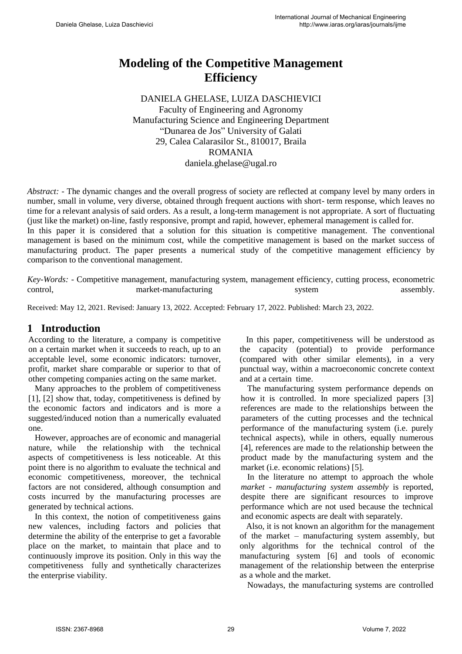# **Modeling of the Competitive Management Efficiency**

DANIELA GHELASE, LUIZA DASCHIEVICI Faculty of Engineering and Agronomy Manufacturing Science and Engineering Department "Dunarea de Jos" University of Galati 29, Calea Calarasilor St., 810017, Braila ROMANIA daniela.ghelase@ugal.ro

*Abstract:* - The dynamic changes and the overall progress of society are reflected at company level by many orders in number, small in volume, very diverse, obtained through frequent auctions with short- term response, which leaves no time for a relevant analysis of said orders. As a result, a long-term management is not appropriate. A sort of fluctuating (just like the market) on-line, fastly responsive, prompt and rapid, however, ephemeral management is called for.

In this paper it is considered that a solution for this situation is competitive management. The conventional management is based on the minimum cost, while the competitive management is based on the market success of manufacturing product. The paper presents a numerical study of the competitive management efficiency by comparison to the conventional management.

*Key-Words: -* Competitive management, manufacturing system, management efficiency, cutting process, econometric control, market-manufacturing system system assembly.

Received: May 12, 2021. Revised: January 13, 2022. Accepted: February 17, 2022. Published: March 23, 2022.

## **1 Introduction**

According to the literature, a company is competitive on a certain market when it succeeds to reach, up to an acceptable level, some economic indicators: turnover, profit, market share comparable or superior to that of other competing companies acting on the same market.

 Many approaches to the problem of competitiveness [1], [2] show that, today, competitiveness is defined by the economic factors and indicators and is more a suggested/induced notion than a numerically evaluated one.

 However, approaches are of economic and managerial nature, while the relationship with the technical aspects of competitiveness is less noticeable. At this point there is no algorithm to evaluate the technical and economic competitiveness, moreover, the technical factors are not considered, although consumption and costs incurred by the manufacturing processes are generated by technical actions.

 In this context, the notion of competitiveness gains new valences, including factors and policies that determine the ability of the enterprise to get a favorable place on the market, to maintain that place and to continuously improve its position. Only in this way the competitiveness fully and synthetically characterizes the enterprise viability.

 In this paper, competitiveness will be understood as the capacity (potential) to provide performance (compared with other similar elements), in a very punctual way, within a macroeconomic concrete context and at a certain time.

 The manufacturing system performance depends on how it is controlled. In more specialized papers [3] references are made to the relationships between the parameters of the cutting processes and the technical performance of the manufacturing system (i.e. purely technical aspects), while in others, equally numerous [4], references are made to the relationship between the product made by the manufacturing system and the market (i.e. economic relations) [5].

 In the literature no attempt to approach the whole *market - manufacturing system assembly* is reported, despite there are significant resources to improve performance which are not used because the technical and economic aspects are dealt with separately.

 Also, it is not known an algorithm for the management of the market – manufacturing system assembly, but only algorithms for the technical control of the manufacturing system [6] and tools of economic management of the relationship between the enterprise as a whole and the market.

Nowadays, the manufacturing systems are controlled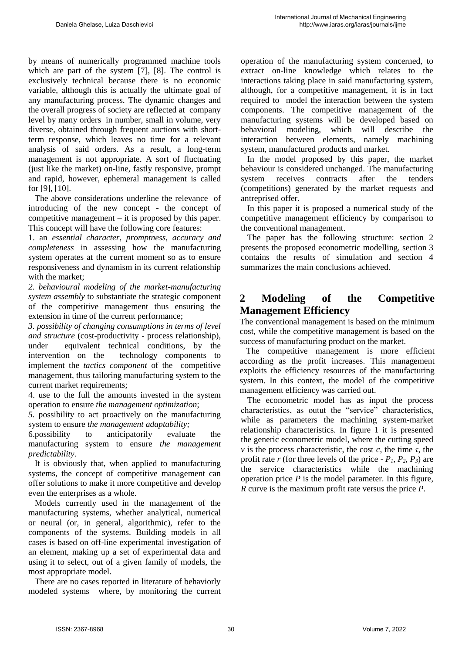by means of numerically programmed machine tools which are part of the system [7], [8]. The control is exclusively technical because there is no economic variable, although this is actually the ultimate goal of any manufacturing process. The dynamic changes and the overall progress of society are reflected at company level by many orders in number, small in volume, very diverse, obtained through frequent auctions with shortterm response, which leaves no time for a relevant analysis of said orders. As a result, a long-term management is not appropriate. A sort of fluctuating (just like the market) on-line, fastly responsive, prompt and rapid, however, ephemeral management is called for [9], [10].

 The above considerations underline the relevance of introducing of the new concept - the concept of competitive management  $-$  it is proposed by this paper. This concept will have the following core features:

1. an *essential character, promptness, accuracy and completeness* in assessing how the manufacturing system operates at the current moment so as to ensure responsiveness and dynamism in its current relationship with the market;

*2. behavioural modeling of the market-manufacturing system assembly* to substantiate the strategic component of the competitive management thus ensuring the extension in time of the current performance;

*3. possibility of changing consumptions in terms of level and structure* (cost-productivity - process relationship), under equivalent technical conditions, by the intervention on the technology components to implement the *tactics component* of the competitive management, thus tailoring manufacturing system to the current market requirements;

4. use to the full the amounts invested in the system operation to ensure *the management optimization*;

*5.* possibility to act proactively on the manufacturing system to ensure *the management adaptability;*

6.possibility to anticipatorily evaluate the manufacturing system to ensure *the management predictability.*

 It is obviously that, when applied to manufacturing systems, the concept of competitive management can offer solutions to make it more competitive and develop even the enterprises as a whole.

 Models currently used in the management of the manufacturing systems, whether analytical, numerical or neural (or, in general, algorithmic), refer to the components of the systems. Building models in all cases is based on off-line experimental investigation of an element, making up a set of experimental data and using it to select, out of a given family of models, the most appropriate model.

 There are no cases reported in literature of behaviorly modeled systems where, by monitoring the current operation of the manufacturing system concerned, to extract on-line knowledge which relates to the interactions taking place in said manufacturing system, although, for a competitive management, it is in fact required to model the interaction between the system components. The competitive management of the manufacturing systems will be developed based on behavioral modeling, which will describe the interaction between elements, namely machining system, manufactured products and market.

 In the model proposed by this paper, the market behaviour is considered unchanged. The manufacturing system receives contracts after the tenders (competitions) generated by the market requests and antreprised offer.

 In this paper it is proposed a numerical study of the competitive management efficiency by comparison to the conventional management.

 The paper has the following structure: section 2 presents the proposed econometric modelling, section 3 contains the results of simulation and section 4 summarizes the main conclusions achieved.

## **2 Modeling of the Competitive Management Efficiency**

The conventional management is based on the minimum cost, while the competitive management is based on the success of manufacturing product on the market.

 The competitive management is more efficient according as the profit increases. This management exploits the efficiency resources of the manufacturing system. In this context, the model of the competitive management efficiency was carried out.

 The econometric model has as input the process characteristics, as outut the "service" characteristics, while as parameters the machining system-market relationship characteristics. In figure 1 it is presented the generic econometric model, where the cutting speed *v* is the process characteristic, the cost *c*, the time  $\tau$ , the profit rate *r* (for three levels of the price  $-P_1$ ,  $P_2$ ,  $P_3$ ) are the service characteristics while the machining operation price *P* is the model parameter. In this figure, *R* curve is the maximum profit rate versus the price *P*.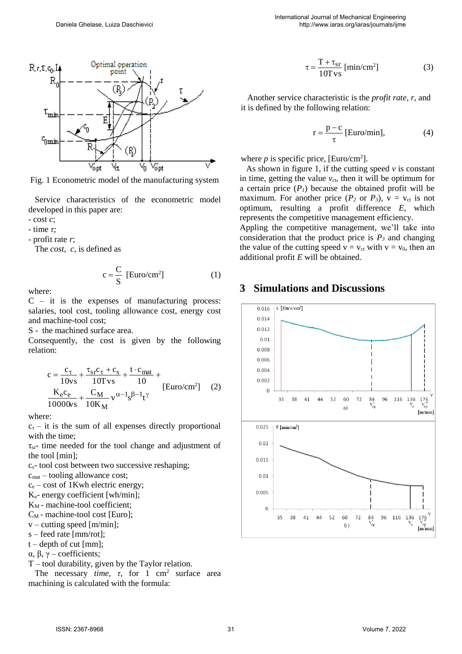

Fig. 1 Econometric model of the manufacturing system

 Service characteristics of the econometric model developed in this paper are:

- cost *c*;

- time *τ;*

- profit rate *r*;

The *cost, c,* is defined as

$$
c = \frac{C}{S} [Euro/cm2] \qquad (1)
$$

where:

 $C - it$  it is the expenses of manufacturing process: salaries, tool cost, tooling allowance cost, energy cost and machine-tool cost;

S - the machined surface area.

Consequently, the cost is given by the following relation:

$$
c = \frac{c_{\tau}}{10vs} + \frac{\tau_{sr}c_{\tau} + c_s}{10Ts} + \frac{t \cdot c_{mat}}{10} + \frac{K_e c_e}{10000vs} + \frac{C_M}{10K_M} v^{\alpha - 1} s^{\beta - 1} t^{\gamma}
$$
 [Euro/cm<sup>2</sup>] (2)

where:

 $c_{\tau}$  – it is the sum of all expenses directly proportional with the time;

 $\tau_{sr}$ - time needed for the tool change and adjustment of the tool [min];

 $c_s$ - tool cost between two successive reshaping;

 $c_{\text{mat}}$  – tooling allowance cost;

 $c_e$  – cost of 1Kwh electric energy;

Ke- energy coefficient [wh/min];

KM - machine-tool coefficient;

 $C_M$  - machine-tool cost [Euro];

 $v$  – cutting speed [m/min];

s – feed rate [mm/rot];

 $t$  – depth of cut [mm];

α, β, γ – coefficients;

T – tool durability, given by the Taylor relation.

The necessary *time*,  $\tau$ , for 1 cm<sup>2</sup> surface area machining is calculated with the formula:

$$
\tau = \frac{T + \tau_{sr}}{10 \text{ T vs}} \text{ [min/cm}^2\text{]}
$$
 (3)

 Another service characteristic is the *profit rate, r,* and it is defined by the following relation:

$$
r = \frac{p - c}{\tau}
$$
 [Euro/min], (4)

where  $p$  is specific price, [Euro/cm<sup>2</sup>].

 As shown in figure 1, if the cutting speed *v* is constant in time, getting the value  $v_{ct}$ , then it will be optimum for a certain price  $(P<sub>I</sub>)$  because the obtained profit will be maximum. For another price  $(P_2 \text{ or } P_3)$ ,  $v = v_{ct}$  is not optimum, resulting a profit difference *E,* which represents the competitive management efficiency.

Appling the competitive management, we'll take into consideration that the product price is  $P_3$  and changing the value of the cutting speed  $v = v_{ct}$  with  $v = v_0$ , then an additional profit *E* will be obtained.

### **3 Simulations and Discussions**

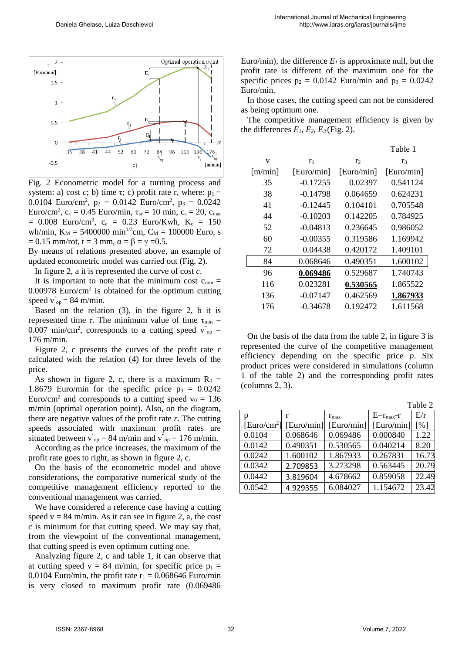

Fig. 2 Econometric model for a turning process and system: a) cost *c*; b) time  $\tau$ ; c) profit rate r, where:  $p_1 =$ 0.0104 Euro/cm<sup>2</sup>,  $p_2 = 0.0142$  Euro/cm<sup>2</sup>,  $p_3 = 0.0242$ Euro/cm<sup>2</sup>,  $c_{\tau} = 0.45$  Euro/min,  $\tau_{sr} = 10$  min,  $c_s = 20$ ,  $c_{mat}$  $= 0.008$  Euro/cm<sup>3</sup>, c<sub>e</sub>  $= 0.23$  Euro/Kwh, K<sub>e</sub>  $= 150$ wh/min,  $K_M = 5400000 \text{ min}^{1/3}$ cm,  $C_M = 100000 \text{ Euro}$ , s  $= 0.15$  mm/rot, t = 3 mm,  $\alpha = \beta = \gamma = 0.5$ .

By means of relations presented above, an example of updated econometric model was carried out (Fig. 2).

In figure 2, a it is represented the curve of cost *c*.

It is important to note that the minimum cost  $c_{\min} =$  $0.00978$  Euro/cm<sup>2</sup> is obtained for the optimum cutting speed  $\vec{v}_{op} = 84$  m/min.

 Based on the relation (3), in the figure 2, b it is represented time *τ*. The minimum value of time  $τ_{min}$  = 0.007 min/cm<sup>2</sup>, corresponds to a cutting speed  $v_{op}$  = 176 m/min.

 Figure 2, c presents the curves of the profit rate *r*  calculated with the relation (4) for three levels of the price.

As shown in figure 2, c, there is a maximum  $R_0 =$ 1.8679 Euro/min for the specific price  $p_3 = 0.0242$ Euro/cm<sup>2</sup> and corresponds to a cutting speed  $v_0 = 136$ m/min (optimal operation point). Also, on the diagram, there are negative values of the profit rate *r*. The cutting speeds associated with maximum profit rates are situated between  $\vec{v}_{op} = 84$  m/min and  $\vec{v}_{op} = 176$  m/min.

 According as the price increases, the maximum of the profit rate goes to right, as shown in figure 2, c.

 On the basis of the econometric model and above considerations, the comparative numerical study of the competitive management efficiency reported to the conventional management was carried.

 We have considered a reference case having a cutting speed  $v = 84$  m/min. As it can see in figure 2, a, the cost *c* is minimum for that cutting speed. We may say that, from the viewpoint of the conventional management, that cutting speed is even optimum cutting one.

 Analyzing figure 2, c and table 1, it can observe that at cutting speed v = 84 m/min, for specific price  $p_1$  = 0.0104 Euro/min, the profit rate  $r_1 = 0.068646$  Euro/min is very closed to maximum profit rate (0.069486 Euro/min), the difference  $E_I$  is approximate null, but the profit rate is different of the maximum one for the specific prices  $p_2 = 0.0142$  Euro/min and  $p_3 = 0.0242$ Euro/min.

 In those cases, the cutting speed can not be considered as being optimum one.

 The competitive management efficiency is given by the differences  $E_1$ ,  $E_2$ ,  $E_3$  (Fig. 2).

|         |                |                | Table 1        |
|---------|----------------|----------------|----------------|
| V       | r <sub>1</sub> | r <sub>2</sub> | r <sub>3</sub> |
| [m/min] | [Euro/min]     | [Euro/min]     | [Euro/min]     |
| 35      | $-0.17255$     | 0.02397        | 0.541124       |
| 38      | $-0.14798$     | 0.064659       | 0.624231       |
| 41      | $-0.12445$     | 0.104101       | 0.705548       |
| 44      | $-0.10203$     | 0.142205       | 0.784925       |
| 52      | $-0.04813$     | 0.236645       | 0.986052       |
| 60      | $-0.00355$     | 0.319586       | 1.169942       |
| 72      | 0.04438        | 0.420172       | 1.409101       |
| 84      | 0.068646       | 0.490351       | 1.600102       |
| 96      | 0.069486       | 0.529687       | 1.740743       |
| 116     | 0.023281       | 0.530565       | 1.865522       |
| 136     | $-0.07147$     | 0.462569       | 1.867933       |
| 176     | $-0.34678$     | 0.192472       | 1.611568       |
|         |                |                |                |

 On the basis of the data from the table 2, in figure 3 is represented the curve of the competitive management efficiency depending on the specific price *p*. Six product prices were considered in simulations (column 1 of the table 2) and the corresponding profit rates (columns 2, 3).

|                         | Table 2    |               |                   |                   |  |
|-------------------------|------------|---------------|-------------------|-------------------|--|
| p                       | r          | $r_{\rm max}$ | $E=r_{\rm max}-r$ | E/r               |  |
| [Euro/cm <sup>2</sup> ] | [Euro/min] | [Euro/min]    | [Eurol/min]       | $\lceil\% \rceil$ |  |
| 0.0104                  | 0.068646   | 0.069486      | 0.000840          | 1.22              |  |
| 0.0142                  | 0.490351   | 0.530565      | 0.040214          | 8.20              |  |
| 0.0242                  | 1.600102   | 1.867933      | 0.267831          | 16.73             |  |
| 0.0342                  | 2.709853   | 3.273298      | 0.563445          | 20.79             |  |
| 0.0442                  | 3.819604   | 4.678662      | 0.859058          | 22.49             |  |
| 0.0542                  | 4.929355   | 6.084027      | 1.154672          | 23.42             |  |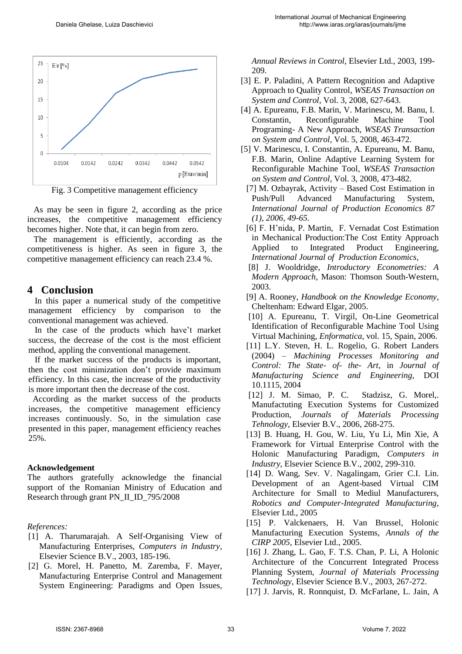

Fig. 3 Competitive management efficiency

 As may be seen in figure 2, according as the price increases, the competitive management efficiency becomes higher. Note that, it can begin from zero.

 The management is efficiently, according as the competitiveness is higher. As seen in figure 3, the competitive management efficiency can reach 23.4 %.

### **4 Conclusion**

In this paper a numerical study of the competitive management efficiency by comparison to the conventional management was achieved.

 In the case of the products which have't market success, the decrease of the cost is the most efficient method, appling the conventional management.

 If the market success of the products is important, then the cost minimization don't provide maximum efficiency. In this case, the increase of the productivity is more important then the decrease of the cost.

 According as the market success of the products increases, the competitive management efficiency increases continuously. So, in the simulation case presented in this paper, management efficiency reaches 25%.

#### **Acknowledgement**

The authors gratefully acknowledge the financial support of the Romanian Ministry of Education and Research through grant PN\_II\_ID\_795/2008

#### *References:*

- [1] A. Tharumarajah. A Self-Organising View of Manufacturing Enterprises, *Computers in Industry*, Elsevier Science B.V., 2003, 185-196.
- [2] G. Morel, H. Panetto, M. Zaremba, F. Mayer, Manufacturing Enterprise Control and Management System Engineering: Paradigms and Open Issues,

*Annual Reviews in Control*, Elsevier Ltd., 2003, 199- 209.

- [3] E. P. Paladini, A Pattern Recognition and Adaptive Approach to Quality Control, *WSEAS Transaction on System and Control,* Vol. 3, 2008, 627-643.
- [4] A. Epureanu, F.B. Marin, V. Marinescu, M. Banu, I. Constantin, Reconfigurable Machine Tool Programing- A New Approach, *WSEAS Transaction on System and Control,* Vol. 5, 2008, 463-472.
- [5] V. Marinescu, I. Constantin, A. Epureanu, M. Banu, F.B. Marin, Online Adaptive Learning System for Reconfigurable Machine Tool, *WSEAS Transaction on System and Control,* Vol. 3, 2008, 473-482.
- [7] M. Ozbayrak, Activity Based Cost Estimation in Push/Pull Advanced Manufacturing System, *International Journal of Production Economics 87 (1), 2006, 49-65.*
- [6] F. H'nida, P. Martin, F. Vernadat Cost Estimation in Mechanical Production:The Cost Entity Approach Applied to Integrated Product Engineering*, International Journal of Production Economics*,
- [8] J. Wooldridge, *Introductory Econometries: A Modern Approach,* Mason: Thomson South-Western, 2003.
- [9] A. Rooney, *Handbook on the Knowledge Economy*, Cheltenham: Edward Elgar, 2005.
- [10] A. Epureanu, T. Virgil, On-Line Geometrical [Identification of Reconfigurable Machine Tool Using](http://www.enformatika.org/data/v15/v15-4.pdf)  [Virtual Machining,](http://www.enformatika.org/data/v15/v15-4.pdf) *Enformatica*, vol. 15, Spain, 2006.
- [11] L.Y. Steven, H. L. Rogelio, G. Robert Landers (2004) – *Machining Processes Monitoring and Control: The State- of- the- Art*, in *Journal of Manufacturing Science and Engineering*, DOI 10.1115, 2004
- [12] J. M. Simao, P. C. Stadzisz, G. Morel,. Manufactuting Execution Systems for Customized Production, *Journals of Materials Processing Tehnology*, Elsevier B.V., 2006, 268-275.
- [13] B. Huang, H. Gou, W. Liu, Yu Li, Min Xie, A Framework for Virtual Enterprise Control with the Holonic Manufacturing Paradigm, *Computers in Industry*, Elsevier Science B.V., 2002, 299-310.
- [14] D. Wang, Sev. V. Nagalingam, Grier C.I. Lin. Development of an Agent-based Virtual CIM Architecture for Small to Mediul Manufacturers, *Robotics and Computer-Integrated Manufacturing,*  Elsevier Ltd., 2005
- [15] P. Valckenaers, H. Van Brussel, Holonic Manufacturing Execution Systems, *Annals of the CIRP 2005*, Elsevier Ltd., 2005.
- [16] J. Zhang, L. Gao, F. T.S. Chan, P. Li, A Holonic Architecture of the Concurrent Integrated Process Planning System, *Journal of Materials Processing Technology*, Elsevier Science B.V., 2003, 267-272.
- [17] J. Jarvis, R. Ronnquist, D. McFarlane, L. Jain, A